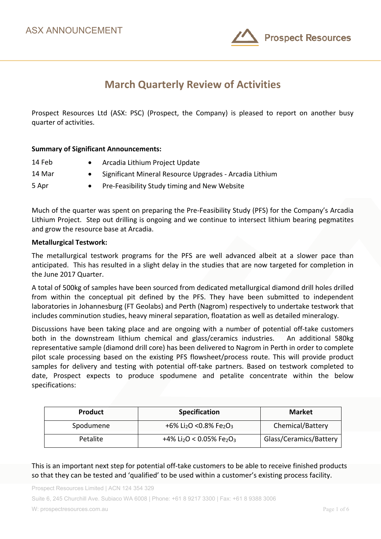

# **March Quarterly Review of Activities**

Prospect Resources Ltd (ASX: PSC) (Prospect, the Company) is pleased to report on another busy quarter of activities.

### **Summary of Significant Announcements:**

| 14 Feb | Arcadia Lithium Project Update                          |
|--------|---------------------------------------------------------|
| 14 Mar | Significant Mineral Resource Upgrades - Arcadia Lithium |
| 5 Apr  | Pre-Feasibility Study timing and New Website            |

Much of the quarter was spent on preparing the Pre-Feasibility Study (PFS) for the Company's Arcadia Lithium Project. Step out drilling is ongoing and we continue to intersect lithium bearing pegmatites and grow the resource base at Arcadia.

#### **Metallurgical Testwork:**

The metallurgical testwork programs for the PFS are well advanced albeit at a slower pace than anticipated. This has resulted in a slight delay in the studies that are now targeted for completion in the June 2017 Quarter.

A total of 500kg of samples have been sourced from dedicated metallurgical diamond drill holes drilled from within the conceptual pit defined by the PFS. They have been submitted to independent laboratories in Johannesburg (FT Geolabs) and Perth (Nagrom) respectively to undertake testwork that includes comminution studies, heavy mineral separation, floatation as well as detailed mineralogy.

Discussions have been taking place and are ongoing with a number of potential off-take customers both in the downstream lithium chemical and glass/ceramics industries. An additional 580kg representative sample (diamond drill core) has been delivered to Nagrom in Perth in order to complete pilot scale processing based on the existing PFS flowsheet/process route. This will provide product samples for delivery and testing with potential off-take partners. Based on testwork completed to date, Prospect expects to produce spodumene and petalite concentrate within the below specifications:

| <b>Product</b> | <b>Specification</b>                                         | <b>Market</b>          |
|----------------|--------------------------------------------------------------|------------------------|
| Spodumene      | +6% Li <sub>2</sub> O <0.8% Fe <sub>2</sub> O <sub>3</sub>   | Chemical/Battery       |
| Petalite       | +4% Li <sub>2</sub> O < 0.05% Fe <sub>2</sub> O <sub>3</sub> | Glass/Ceramics/Battery |

This is an important next step for potential off-take customers to be able to receive finished products so that they can be tested and 'qualified' to be used within a customer's existing process facility.

Prospect Resources Limited | ACN 124 354 329

Suite 6, 245 Churchill Ave. Subiaco WA 6008 | Phone: +61 8 9217 3300 | Fax: +61 8 9388 3006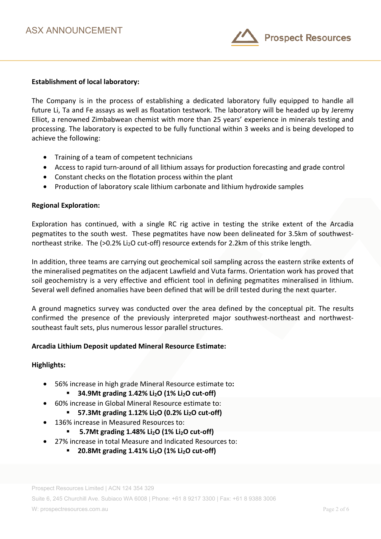

### **Establishment of local laboratory:**

The Company is in the process of establishing a dedicated laboratory fully equipped to handle all future Li, Ta and Fe assays as well as floatation testwork. The laboratory will be headed up by Jeremy Elliot, a renowned Zimbabwean chemist with more than 25 years' experience in minerals testing and processing. The laboratory is expected to be fully functional within 3 weeks and is being developed to achieve the following:

- Training of a team of competent technicians
- Access to rapid turn-around of all lithium assays for production forecasting and grade control
- Constant checks on the flotation process within the plant
- Production of laboratory scale lithium carbonate and lithium hydroxide samples

### **Regional Exploration:**

Exploration has continued, with a single RC rig active in testing the strike extent of the Arcadia pegmatites to the south west. These pegmatites have now been delineated for 3.5km of southwestnortheast strike. The (>0.2% Li<sub>2</sub>O cut-off) resource extends for 2.2km of this strike length.

In addition, three teams are carrying out geochemical soil sampling across the eastern strike extents of the mineralised pegmatites on the adjacent Lawfield and Vuta farms. Orientation work has proved that soil geochemistry is a very effective and efficient tool in defining pegmatites mineralised in lithium. Several well defined anomalies have been defined that will be drill tested during the next quarter.

A ground magnetics survey was conducted over the area defined by the conceptual pit. The results confirmed the presence of the previously interpreted major southwest-northeast and northwestsoutheast fault sets, plus numerous lessor parallel structures.

#### **Arcadia Lithium Deposit updated Mineral Resource Estimate:**

#### **Highlights:**

- 56% increase in high grade Mineral Resource estimate to**:** 
	- **34.9Mt grading 1.42% Li<sub>2</sub>O (1% Li<sub>2</sub>O cut-off)**
	- 60% increase in Global Mineral Resource estimate to:
		- **57.3Mt grading 1.12% Li<sub>2</sub>O (0.2% Li<sub>2</sub>O cut-off)**
- 136% increase in Measured Resources to:
	- **5.7Mt grading 1.48% Li2O (1% Li2O cut-off)**
- 27% increase in total Measure and Indicated Resources to:
	- **20.8Mt grading 1.41% Li2O (1% Li2O cut-off)**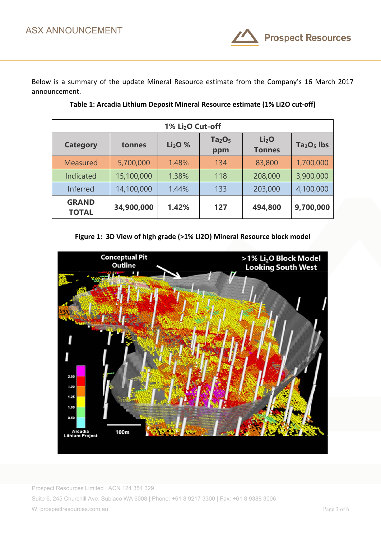

Below is a summary of the update Mineral Resource estimate from the Company's 16 March 2017 announcement.

| 1% Li <sub>2</sub> O Cut-off |            |                                |                                       |                                    |             |  |
|------------------------------|------------|--------------------------------|---------------------------------------|------------------------------------|-------------|--|
| <b>Category</b>              | tonnes     | Li <sub>2</sub> O <sub>%</sub> | Ta <sub>2</sub> O <sub>5</sub><br>ppm | Li <sub>2</sub> O<br><b>Tonnes</b> | $Ta2O5$ lbs |  |
| <b>Measured</b>              | 5,700,000  | 1.48%                          | 134                                   | 83,800                             | 1,700,000   |  |
| Indicated                    | 15,100,000 | 1.38%                          | 118                                   | 208,000                            | 3,900,000   |  |
| Inferred                     | 14,100,000 | 1.44%                          | 133                                   | 203,000                            | 4,100,000   |  |
| <b>GRAND</b><br><b>TOTAL</b> | 34,900,000 | 1.42%                          | 127                                   | 494,800                            | 9,700,000   |  |

**Table 1: Arcadia Lithium Deposit Mineral Resource estimate (1% Li2O cut-off)** 

**Figure 1: 3D View of high grade (>1% Li2O) Mineral Resource block model** 

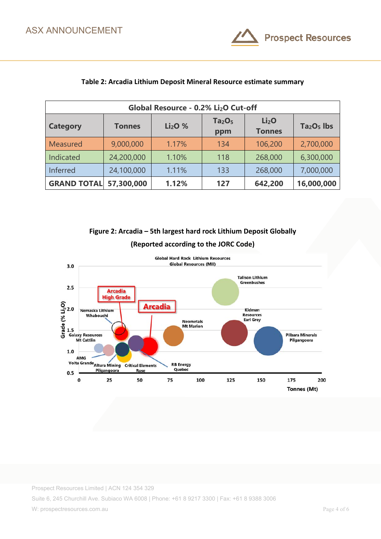

| Global Resource - 0.2% Li <sub>2</sub> O Cut-off |               |                                |                                       |                                    |             |
|--------------------------------------------------|---------------|--------------------------------|---------------------------------------|------------------------------------|-------------|
| <b>Category</b>                                  | <b>Tonnes</b> | Li <sub>2</sub> O <sub>%</sub> | Ta <sub>2</sub> O <sub>5</sub><br>ppm | Li <sub>2</sub> O<br><b>Tonnes</b> | $Ta2O5$ lbs |
| Measured                                         | 9,000,000     | 1.17%                          | 134                                   | 106,200                            | 2,700,000   |
| Indicated                                        | 24,200,000    | 1.10%                          | 118                                   | 268,000                            | 6,300,000   |
| Inferred                                         | 24,100,000    | 1.11%                          | 133                                   | 268,000                            | 7,000,000   |
| <b>GRAND TOTAL</b>                               | 57,300,000    | 1.12%                          | 127                                   | 642,200                            | 16,000,000  |

## **Table 2: Arcadia Lithium Deposit Mineral Resource estimate summary**

**Figure 2: Arcadia – 5th largest hard rock Lithium Deposit Globally** 



# **(Reported according to the JORC Code)**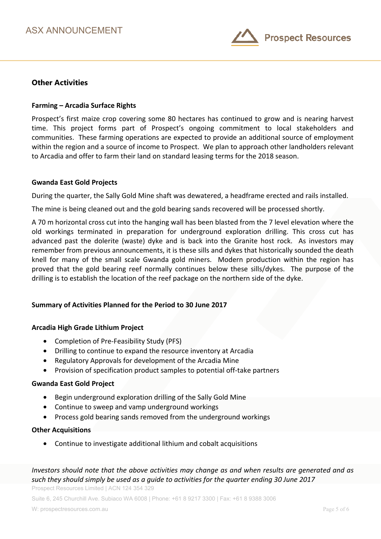

# **Other Activities**

### **Farming – Arcadia Surface Rights**

Prospect's first maize crop covering some 80 hectares has continued to grow and is nearing harvest time. This project forms part of Prospect's ongoing commitment to local stakeholders and communities. These farming operations are expected to provide an additional source of employment within the region and a source of income to Prospect. We plan to approach other landholders relevant to Arcadia and offer to farm their land on standard leasing terms for the 2018 season.

#### **Gwanda East Gold Projects**

During the quarter, the Sally Gold Mine shaft was dewatered, a headframe erected and rails installed.

The mine is being cleaned out and the gold bearing sands recovered will be processed shortly.

A 70 m horizontal cross cut into the hanging wall has been blasted from the 7 level elevation where the old workings terminated in preparation for underground exploration drilling. This cross cut has advanced past the dolerite (waste) dyke and is back into the Granite host rock. As investors may remember from previous announcements, it is these sills and dykes that historically sounded the death knell for many of the small scale Gwanda gold miners. Modern production within the region has proved that the gold bearing reef normally continues below these sills/dykes. The purpose of the drilling is to establish the location of the reef package on the northern side of the dyke.

## **Summary of Activities Planned for the Period to 30 June 2017**

#### **Arcadia High Grade Lithium Project**

- Completion of Pre-Feasibility Study (PFS)
- Drilling to continue to expand the resource inventory at Arcadia
- Regulatory Approvals for development of the Arcadia Mine
- Provision of specification product samples to potential off-take partners

#### **Gwanda East Gold Project**

- Begin underground exploration drilling of the Sally Gold Mine
- Continue to sweep and vamp underground workings
- Process gold bearing sands removed from the underground workings

#### **Other Acquisitions**

• Continue to investigate additional lithium and cobalt acquisitions

# *Investors should note that the above activities may change as and when results are generated and as such they should simply be used as a guide to activities for the quarter ending 30 June 2017*

Prospect Resources Limited | ACN 124 354 329

Suite 6, 245 Churchill Ave. Subiaco WA 6008 | Phone: +61 8 9217 3300 | Fax: +61 8 9388 3006